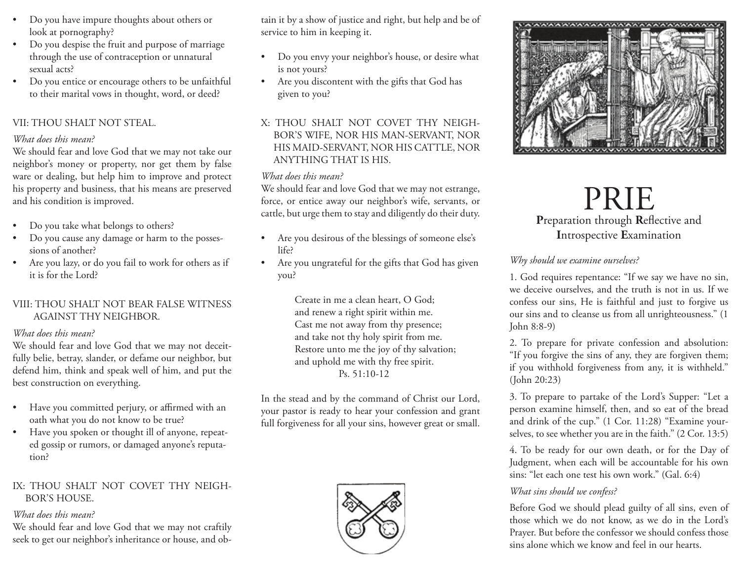- Do you have impure thoughts about others or look at pornography?
- Do you despise the fruit and purpose of marriage through the use of contraception or unnatural sexual acts?
- Do you entice or encourage others to be unfaithful to their marital vows in thought, word, or deed?

### VII: THOU SHALT NOT STEAL.

#### *What does this mean?*

We should fear and love God that we may not take our neighbor's money or property, nor get them by false ware or dealing, but help him to improve and protect his property and business, that his means are preserved and his condition is improved.

- Do you take what belongs to others?
- Do you cause any damage or harm to the possessions of another?
- Are you lazy, or do you fail to work for others as if it is for the Lord?

### VIII: THOU SHALT NOT BEAR FALSE WITNESS AGAINST THY NEIGHBOR.

#### *What does this mean?*

We should fear and love God that we may not deceitfully belie, betray, slander, or defame our neighbor, but defend him, think and speak well of him, and put the best construction on everything.

- Have you committed perjury, or affirmed with an oath what you do not know to be true?
- Have you spoken or thought ill of anyone, repeated gossip or rumors, or damaged anyone's reputation?

### IX: THOU SHALT NOT COVET THY NEIGH-BOR'S HOUSE.

#### *What does this mean?*

We should fear and love God that we may not craftily seek to get our neighbor's inheritance or house, and ob-

tain it by a show of justice and right, but help and be of service to him in keeping it.

- Do you envy your neighbor's house, or desire what is not yours?
- Are you discontent with the gifts that God has given to you?
- X: THOU SHALT NOT COVET THY NEIGH-BOR'S WIFE, NOR HIS MAN-SERVANT, NOR HIS MAID-SERVANT, NOR HIS CATTLE, NOR ANYTHING THAT IS HIS.

### *What does this mean?*

We should fear and love God that we may not estrange, force, or entice away our neighbor's wife, servants, or cattle, but urge them to stay and diligently do their duty.

- Are you desirous of the blessings of someone else's life?
- Are you ungrateful for the gifts that God has given you?

Create in me a clean heart, O God; and renew a right spirit within me. Cast me not away from thy presence; and take not thy holy spirit from me. Restore unto me the joy of thy salvation; and uphold me with thy free spirit. Ps. 51:10-12

In the stead and by the command of Christ our Lord, your pastor is ready to hear your confession and grant full forgiveness for all your sins, however great or small.





# PRIE **P**reparation through **R**eflective and **I**ntrospective **E**xamination

### *Why should we examine ourselves?*

1. God requires repentance: "If we say we have no sin, we deceive ourselves, and the truth is not in us. If we confess our sins, He is faithful and just to forgive us our sins and to cleanse us from all unrighteousness." (1 John 8:8-9)

2. To prepare for private confession and absolution: "If you forgive the sins of any, they are forgiven them; if you withhold forgiveness from any, it is withheld." (John 20:23)

3. To prepare to partake of the Lord's Supper: "Let a person examine himself, then, and so eat of the bread and drink of the cup." (1 Cor. 11:28) "Examine yourselves, to see whether you are in the faith." (2 Cor. 13:5)

4. To be ready for our own death, or for the Day of Judgment, when each will be accountable for his own sins: "let each one test his own work." (Gal. 6:4)

### *What sins should we confess?*

Before God we should plead guilty of all sins, even of those which we do not know, as we do in the Lord's Prayer. But before the confessor we should confess those sins alone which we know and feel in our hearts.